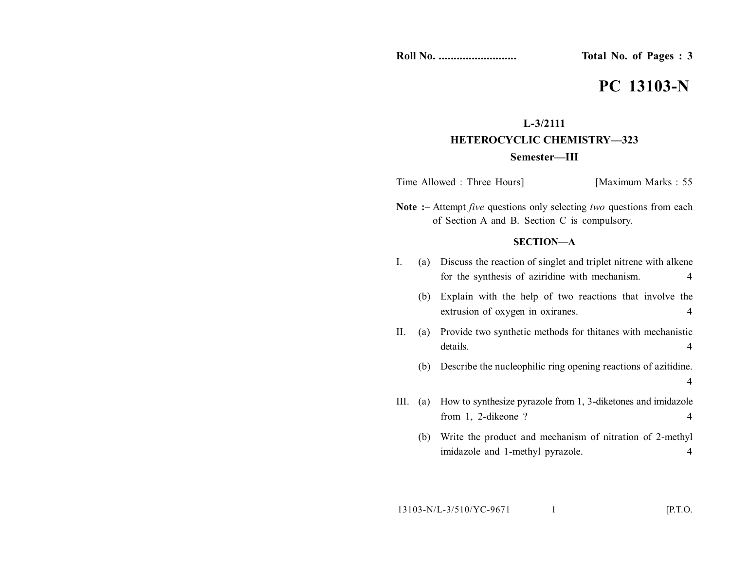**Roll No. .......................... Total No. of Pages : 3**

# **PC 13103-N**

## **L-3/2111 HETEROCYCLIC CHEMISTRY—323 Semester—III**

Time Allowed : Three Hours] [Maximum Marks : 55]

**Note :–** Attempt *five* questions only selecting *two* questions from each of Section A and B. Section C is compulsory.

### **SECTION—A**

- I. (a) Discuss the reaction of singlet and triplet nitrene with alkene for the synthesis of aziridine with mechanism. 4
	- (b) Explain with the help of two reactions that involve the extrusion of oxygen in oxiranes. 4
- II. (a) Provide two synthetic methods for thitanes with mechanistic details. 4
	- (b) Describe the nucleophilic ring opening reactions of azitidine. 4
- III. (a) How to synthesize pyrazole from 1, 3-diketones and imidazole from 1, 2-dikeone ? 4
	- (b) Write the product and mechanism of nitration of 2-methyl imidazole and 1-methyl pyrazole. 4